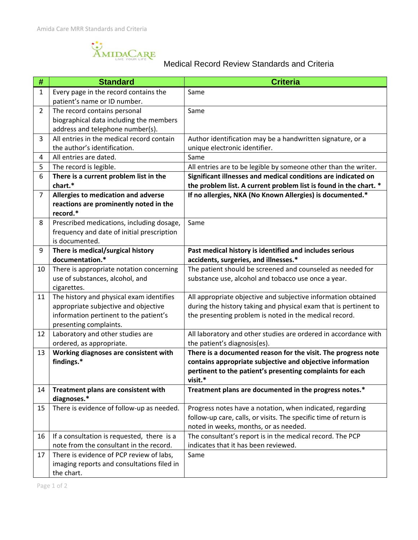AMIDACARE

## Medical Record Review Standards and Criteria

| #              | <b>Standard</b>                                                             | <b>Criteria</b>                                                                                                   |
|----------------|-----------------------------------------------------------------------------|-------------------------------------------------------------------------------------------------------------------|
| 1              | Every page in the record contains the                                       | Same                                                                                                              |
|                | patient's name or ID number.                                                |                                                                                                                   |
| $\overline{2}$ | The record contains personal                                                | Same                                                                                                              |
|                | biographical data including the members                                     |                                                                                                                   |
|                | address and telephone number(s).                                            |                                                                                                                   |
| 3              | All entries in the medical record contain                                   | Author identification may be a handwritten signature, or a                                                        |
|                | the author's identification.                                                | unique electronic identifier.                                                                                     |
| 4              | All entries are dated.                                                      | Same                                                                                                              |
| 5              | The record is legible.                                                      | All entries are to be legible by someone other than the writer.                                                   |
| 6              | There is a current problem list in the                                      | Significant illnesses and medical conditions are indicated on                                                     |
|                | chart.*                                                                     | the problem list. A current problem list is found in the chart. *                                                 |
| 7              | Allergies to medication and adverse                                         | If no allergies, NKA (No Known Allergies) is documented.*                                                         |
|                | reactions are prominently noted in the                                      |                                                                                                                   |
|                | record.*                                                                    |                                                                                                                   |
| 8              | Prescribed medications, including dosage,                                   | Same                                                                                                              |
|                | frequency and date of initial prescription                                  |                                                                                                                   |
|                | is documented.                                                              |                                                                                                                   |
| 9              | There is medical/surgical history<br>documentation.*                        | Past medical history is identified and includes serious                                                           |
|                |                                                                             | accidents, surgeries, and illnesses.*                                                                             |
| 10             | There is appropriate notation concerning<br>use of substances, alcohol, and | The patient should be screened and counseled as needed for<br>substance use, alcohol and tobacco use once a year. |
|                | cigarettes.                                                                 |                                                                                                                   |
| 11             | The history and physical exam identifies                                    | All appropriate objective and subjective information obtained                                                     |
|                | appropriate subjective and objective                                        | during the history taking and physical exam that is pertinent to                                                  |
|                | information pertinent to the patient's                                      | the presenting problem is noted in the medical record.                                                            |
|                | presenting complaints.                                                      |                                                                                                                   |
| 12             | Laboratory and other studies are                                            | All laboratory and other studies are ordered in accordance with                                                   |
|                | ordered, as appropriate.                                                    | the patient's diagnosis(es).                                                                                      |
| 13             | Working diagnoses are consistent with                                       | There is a documented reason for the visit. The progress note                                                     |
|                | findings.*                                                                  | contains appropriate subjective and objective information                                                         |
|                |                                                                             | pertinent to the patient's presenting complaints for each                                                         |
|                |                                                                             | visit.*                                                                                                           |
| 14             | Treatment plans are consistent with                                         | Treatment plans are documented in the progress notes.*                                                            |
|                | diagnoses.*                                                                 |                                                                                                                   |
| 15             | There is evidence of follow-up as needed.                                   | Progress notes have a notation, when indicated, regarding                                                         |
|                |                                                                             | follow-up care, calls, or visits. The specific time of return is                                                  |
|                |                                                                             | noted in weeks, months, or as needed.                                                                             |
| 16             | If a consultation is requested, there is a                                  | The consultant's report is in the medical record. The PCP                                                         |
|                | note from the consultant in the record.                                     | indicates that it has been reviewed.                                                                              |
| 17             | There is evidence of PCP review of labs,                                    | Same                                                                                                              |
|                | imaging reports and consultations filed in                                  |                                                                                                                   |
|                | the chart.                                                                  |                                                                                                                   |